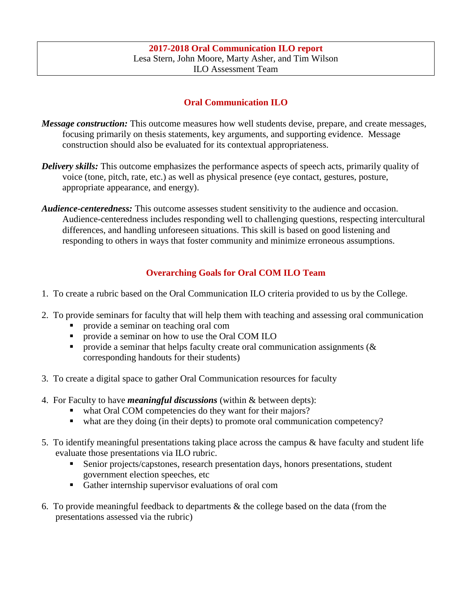## **Oral Communication ILO**

- *Message construction:* This outcome measures how well students devise, prepare, and create messages, focusing primarily on thesis statements, key arguments, and supporting evidence. Message construction should also be evaluated for its contextual appropriateness.
- *Delivery skills:* This outcome emphasizes the performance aspects of speech acts, primarily quality of voice (tone, pitch, rate, etc.) as well as physical presence (eye contact, gestures, posture, appropriate appearance, and energy).
- *Audience-centeredness:* This outcome assesses student sensitivity to the audience and occasion. Audience-centeredness includes responding well to challenging questions, respecting intercultural differences, and handling unforeseen situations. This skill is based on good listening and responding to others in ways that foster community and minimize erroneous assumptions.

### **Overarching Goals for Oral COM ILO Team**

- 1. To create a rubric based on the Oral Communication ILO criteria provided to us by the College.
- 2. To provide seminars for faculty that will help them with teaching and assessing oral communication
	- provide a seminar on teaching oral com
	- provide a seminar on how to use the Oral COM ILO
	- provide a seminar that helps faculty create oral communication assignments ( $\&$ corresponding handouts for their students)
- 3. To create a digital space to gather Oral Communication resources for faculty
- 4. For Faculty to have *meaningful discussions* (within & between depts):
	- what Oral COM competencies do they want for their majors?
	- what are they doing (in their depts) to promote oral communication competency?
- 5. To identify meaningful presentations taking place across the campus & have faculty and student life evaluate those presentations via ILO rubric.
	- Senior projects/capstones, research presentation days, honors presentations, student government election speeches, etc
	- Gather internship supervisor evaluations of oral com
- 6. To provide meaningful feedback to departments & the college based on the data (from the presentations assessed via the rubric)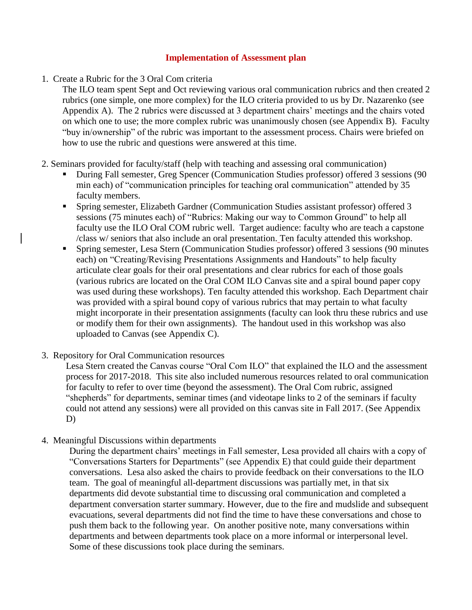#### **Implementation of Assessment plan**

1. Create a Rubric for the 3 Oral Com criteria

The ILO team spent Sept and Oct reviewing various oral communication rubrics and then created 2 rubrics (one simple, one more complex) for the ILO criteria provided to us by Dr. Nazarenko (see Appendix A). The 2 rubrics were discussed at 3 department chairs' meetings and the chairs voted on which one to use; the more complex rubric was unanimously chosen (see Appendix B). Faculty "buy in/ownership" of the rubric was important to the assessment process. Chairs were briefed on how to use the rubric and questions were answered at this time.

- 2. Seminars provided for faculty/staff (help with teaching and assessing oral communication)
	- During Fall semester, Greg Spencer (Communication Studies professor) offered 3 sessions (90 min each) of "communication principles for teaching oral communication" attended by 35 faculty members.
	- Spring semester, Elizabeth Gardner (Communication Studies assistant professor) offered 3 sessions (75 minutes each) of "Rubrics: Making our way to Common Ground" to help all faculty use the ILO Oral COM rubric well. Target audience: faculty who are teach a capstone /class w/ seniors that also include an oral presentation. Ten faculty attended this workshop.
	- Spring semester, Lesa Stern (Communication Studies professor) offered 3 sessions (90 minutes each) on "Creating/Revising Presentations Assignments and Handouts" to help faculty articulate clear goals for their oral presentations and clear rubrics for each of those goals (various rubrics are located on the Oral COM ILO Canvas site and a spiral bound paper copy was used during these workshops). Ten faculty attended this workshop. Each Department chair was provided with a spiral bound copy of various rubrics that may pertain to what faculty might incorporate in their presentation assignments (faculty can look thru these rubrics and use or modify them for their own assignments). The handout used in this workshop was also uploaded to Canvas (see Appendix C).
- 3. Repository for Oral Communication resources

Lesa Stern created the Canvas course "Oral Com ILO" that explained the ILO and the assessment process for 2017-2018. This site also included numerous resources related to oral communication for faculty to refer to over time (beyond the assessment). The Oral Com rubric, assigned "shepherds" for departments, seminar times (and videotape links to 2 of the seminars if faculty could not attend any sessions) were all provided on this canvas site in Fall 2017. (See Appendix D)

4. Meaningful Discussions within departments

During the department chairs' meetings in Fall semester, Lesa provided all chairs with a copy of "Conversations Starters for Departments" (see Appendix E) that could guide their department conversations. Lesa also asked the chairs to provide feedback on their conversations to the ILO team. The goal of meaningful all-department discussions was partially met, in that six departments did devote substantial time to discussing oral communication and completed a department conversation starter summary. However, due to the fire and mudslide and subsequent evacuations, several departments did not find the time to have these conversations and chose to push them back to the following year. On another positive note, many conversations within departments and between departments took place on a more informal or interpersonal level. Some of these discussions took place during the seminars.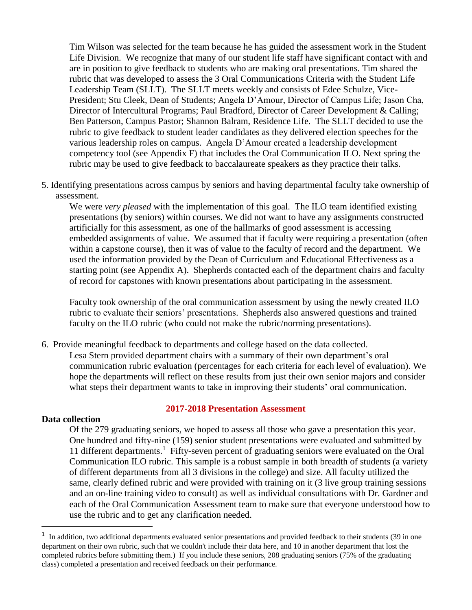Tim Wilson was selected for the team because he has guided the assessment work in the Student Life Division. We recognize that many of our student life staff have significant contact with and are in position to give feedback to students who are making oral presentations. Tim shared the rubric that was developed to assess the 3 Oral Communications Criteria with the Student Life Leadership Team (SLLT). The SLLT meets weekly and consists of Edee Schulze, Vice-President; Stu Cleek, Dean of Students; Angela D'Amour, Director of Campus Life; Jason Cha, Director of Intercultural Programs; Paul Bradford, Director of Career Development & Calling; Ben Patterson, Campus Pastor; Shannon Balram, Residence Life. The SLLT decided to use the rubric to give feedback to student leader candidates as they delivered election speeches for the various leadership roles on campus. Angela D'Amour created a leadership development competency tool (see Appendix F) that includes the Oral Communication ILO. Next spring the rubric may be used to give feedback to baccalaureate speakers as they practice their talks.

5. Identifying presentations across campus by seniors and having departmental faculty take ownership of assessment.

We were *very pleased* with the implementation of this goal. The ILO team identified existing presentations (by seniors) within courses. We did not want to have any assignments constructed artificially for this assessment, as one of the hallmarks of good assessment is accessing embedded assignments of value. We assumed that if faculty were requiring a presentation (often within a capstone course), then it was of value to the faculty of record and the department. We used the information provided by the Dean of Curriculum and Educational Effectiveness as a starting point (see Appendix A). Shepherds contacted each of the department chairs and faculty of record for capstones with known presentations about participating in the assessment.

Faculty took ownership of the oral communication assessment by using the newly created ILO rubric to evaluate their seniors' presentations. Shepherds also answered questions and trained faculty on the ILO rubric (who could not make the rubric/norming presentations).

6. Provide meaningful feedback to departments and college based on the data collected. Lesa Stern provided department chairs with a summary of their own department's oral communication rubric evaluation (percentages for each criteria for each level of evaluation). We hope the departments will reflect on these results from just their own senior majors and consider what steps their department wants to take in improving their students' oral communication.

#### **2017-2018 Presentation Assessment**

#### **Data collection**

l

Of the 279 graduating seniors, we hoped to assess all those who gave a presentation this year. One hundred and fifty-nine (159) senior student presentations were evaluated and submitted by 11 different departments.<sup>1</sup> Fifty-seven percent of graduating seniors were evaluated on the Oral Communication ILO rubric. This sample is a robust sample in both breadth of students (a variety of different departments from all 3 divisions in the college) and size. All faculty utilized the same, clearly defined rubric and were provided with training on it (3 live group training sessions and an on-line training video to consult) as well as individual consultations with Dr. Gardner and each of the Oral Communication Assessment team to make sure that everyone understood how to use the rubric and to get any clarification needed.

<sup>&</sup>lt;sup>1</sup> In addition, two additional departments evaluated senior presentations and provided feedback to their students (39 in one department on their own rubric, such that we couldn't include their data here, and 10 in another department that lost the completed rubrics before submitting them.) If you include these seniors, 208 graduating seniors (75% of the graduating class) completed a presentation and received feedback on their performance.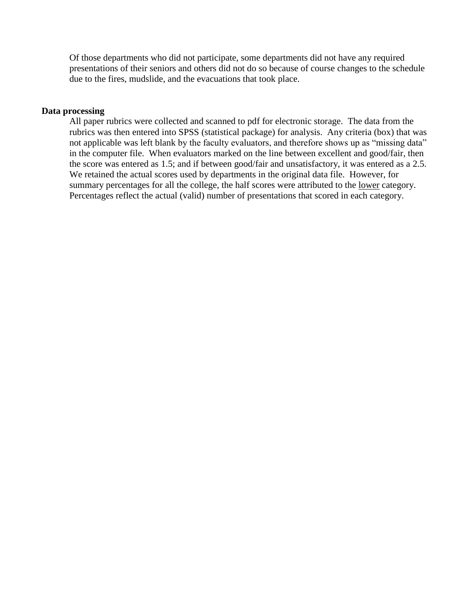Of those departments who did not participate, some departments did not have any required presentations of their seniors and others did not do so because of course changes to the schedule due to the fires, mudslide, and the evacuations that took place.

#### **Data processing**

All paper rubrics were collected and scanned to pdf for electronic storage. The data from the rubrics was then entered into SPSS (statistical package) for analysis. Any criteria (box) that was not applicable was left blank by the faculty evaluators, and therefore shows up as "missing data" in the computer file. When evaluators marked on the line between excellent and good/fair, then the score was entered as 1.5; and if between good/fair and unsatisfactory, it was entered as a 2.5. We retained the actual scores used by departments in the original data file. However, for summary percentages for all the college, the half scores were attributed to the lower category. Percentages reflect the actual (valid) number of presentations that scored in each category.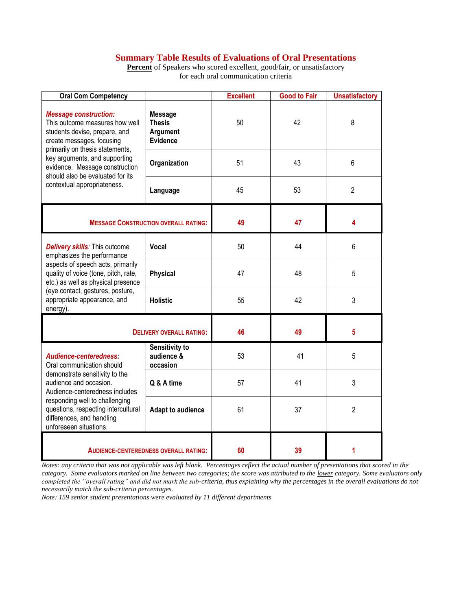### **Summary Table Results of Evaluations of Oral Presentations**

Percent of Speakers who scored excellent, good/fair, or unsatisfactory for each oral communication criteria

| <b>Oral Com Competency</b>                                                                                                                                      |                                                                | <b>Excellent</b> | <b>Good to Fair</b> | <b>Unsatisfactory</b> |
|-----------------------------------------------------------------------------------------------------------------------------------------------------------------|----------------------------------------------------------------|------------------|---------------------|-----------------------|
| <b>Message construction:</b><br>This outcome measures how well<br>students devise, prepare, and<br>create messages, focusing<br>primarily on thesis statements, | <b>Message</b><br><b>Thesis</b><br>Argument<br><b>Evidence</b> | 50               | 42                  | 8                     |
| key arguments, and supporting<br>evidence. Message construction<br>should also be evaluated for its                                                             | Organization                                                   | 51               | 43                  | 6                     |
| contextual appropriateness.                                                                                                                                     | Language                                                       | 45               | 53                  | $\overline{2}$        |
| <b>MESSAGE CONSTRUCTION OVERALL RATING:</b>                                                                                                                     | 49                                                             | 47               | 4                   |                       |
| <b>Delivery skills:</b> This outcome<br>emphasizes the performance                                                                                              | Vocal                                                          | 50               | 44                  | 6                     |
| aspects of speech acts, primarily<br>quality of voice (tone, pitch, rate,<br>etc.) as well as physical presence                                                 | <b>Physical</b>                                                | 47               | 48                  | 5                     |
| (eye contact, gestures, posture,<br>appropriate appearance, and<br>energy).                                                                                     | <b>Holistic</b>                                                | 55               | 42                  | 3                     |
| <b>DELIVERY OVERALL RATING:</b>                                                                                                                                 | 46                                                             | 49               | 5                   |                       |
| Audience-centeredness:<br>Oral communication should                                                                                                             | Sensitivity to<br>audience &<br>occasion                       | 53               | 41                  | 5                     |
| demonstrate sensitivity to the<br>audience and occasion.<br>Audience-centeredness includes                                                                      | Q & A time                                                     | 57               | 41                  | 3                     |
| responding well to challenging<br>questions, respecting intercultural<br>differences, and handling<br>unforeseen situations.                                    | <b>Adapt to audience</b>                                       | 61               | 37                  | $\overline{2}$        |
| <b>AUDIENCE-CENTEREDNESS OVERALL RATING:</b>                                                                                                                    | 60                                                             | 39               | 1                   |                       |

*Notes: any criteria that was not applicable was left blank. Percentages reflect the actual number of presentations that scored in the category. Some evaluators marked on line between two categories; the score was attributed to the lower category. Some evaluators only completed the "overall rating" and did not mark the sub-criteria, thus explaining why the percentages in the overall evaluations do not necessarily match the sub-criteria percentages.*

*Note: 159 senior student presentations were evaluated by 11 different departments*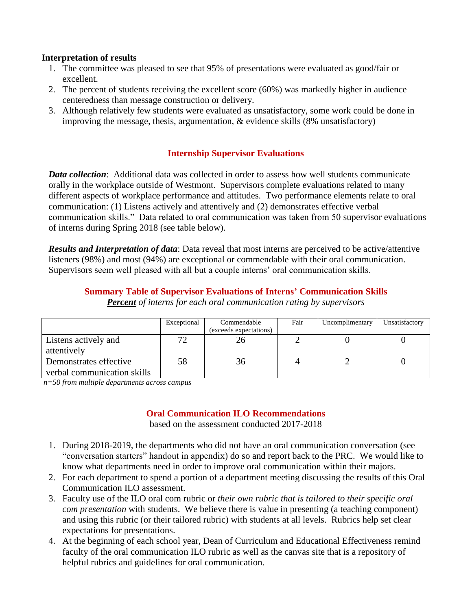### **Interpretation of results**

- 1. The committee was pleased to see that 95% of presentations were evaluated as good/fair or excellent.
- 2. The percent of students receiving the excellent score (60%) was markedly higher in audience centeredness than message construction or delivery.
- 3. Although relatively few students were evaluated as unsatisfactory, some work could be done in improving the message, thesis, argumentation, & evidence skills (8% unsatisfactory)

### **Internship Supervisor Evaluations**

*Data collection*: Additional data was collected in order to assess how well students communicate orally in the workplace outside of Westmont. Supervisors complete evaluations related to many different aspects of workplace performance and attitudes. Two performance elements relate to oral communication: (1) Listens actively and attentively and (2) demonstrates effective verbal communication skills." Data related to oral communication was taken from 50 supervisor evaluations of interns during Spring 2018 (see table below).

*Results and Interpretation of data*: Data reveal that most interns are perceived to be active/attentive listeners (98%) and most (94%) are exceptional or commendable with their oral communication. Supervisors seem well pleased with all but a couple interns' oral communication skills.

# **Summary Table of Supervisor Evaluations of Interns' Communication Skills**

*Percent of interns for each oral communication rating by supervisors*

|                             | Exceptional | Commendable<br>(exceeds expectations) | Fair | Uncomplimentary | Unsatisfactory |
|-----------------------------|-------------|---------------------------------------|------|-----------------|----------------|
| Listens actively and        |             |                                       |      |                 |                |
| attentively                 |             |                                       |      |                 |                |
| Demonstrates effective      | 58          | 36                                    |      |                 |                |
| verbal communication skills |             |                                       |      |                 |                |

*n=50 from multiple departments across campus* 

### **Oral Communication ILO Recommendations**

based on the assessment conducted 2017-2018

- 1. During 2018-2019, the departments who did not have an oral communication conversation (see "conversation starters" handout in appendix) do so and report back to the PRC. We would like to know what departments need in order to improve oral communication within their majors.
- 2. For each department to spend a portion of a department meeting discussing the results of this Oral Communication ILO assessment.
- 3. Faculty use of the ILO oral com rubric or *their own rubric that is tailored to their specific oral com presentation* with students. We believe there is value in presenting (a teaching component) and using this rubric (or their tailored rubric) with students at all levels. Rubrics help set clear expectations for presentations.
- 4. At the beginning of each school year, Dean of Curriculum and Educational Effectiveness remind faculty of the oral communication ILO rubric as well as the canvas site that is a repository of helpful rubrics and guidelines for oral communication.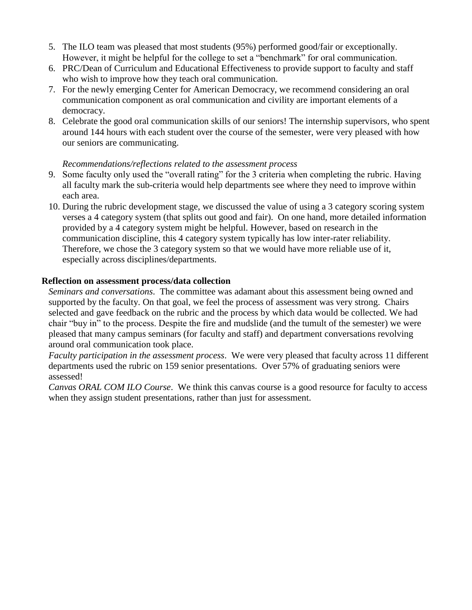- 5. The ILO team was pleased that most students (95%) performed good/fair or exceptionally. However, it might be helpful for the college to set a "benchmark" for oral communication.
- 6. PRC/Dean of Curriculum and Educational Effectiveness to provide support to faculty and staff who wish to improve how they teach oral communication.
- 7. For the newly emerging Center for American Democracy, we recommend considering an oral communication component as oral communication and civility are important elements of a democracy.
- 8. Celebrate the good oral communication skills of our seniors! The internship supervisors, who spent around 144 hours with each student over the course of the semester, were very pleased with how our seniors are communicating.

### *Recommendations/reflections related to the assessment process*

- 9. Some faculty only used the "overall rating" for the 3 criteria when completing the rubric. Having all faculty mark the sub-criteria would help departments see where they need to improve within each area.
- 10. During the rubric development stage, we discussed the value of using a 3 category scoring system verses a 4 category system (that splits out good and fair). On one hand, more detailed information provided by a 4 category system might be helpful. However, based on research in the communication discipline, this 4 category system typically has low inter-rater reliability. Therefore, we chose the 3 category system so that we would have more reliable use of it, especially across disciplines/departments.

### **Reflection on assessment process/data collection**

*Seminars and conversations*. The committee was adamant about this assessment being owned and supported by the faculty. On that goal, we feel the process of assessment was very strong. Chairs selected and gave feedback on the rubric and the process by which data would be collected. We had chair "buy in" to the process. Despite the fire and mudslide (and the tumult of the semester) we were pleased that many campus seminars (for faculty and staff) and department conversations revolving around oral communication took place.

*Faculty participation in the assessment process*. We were very pleased that faculty across 11 different departments used the rubric on 159 senior presentations. Over 57% of graduating seniors were assessed!

*Canvas ORAL COM ILO Course*. We think this canvas course is a good resource for faculty to access when they assign student presentations, rather than just for assessment.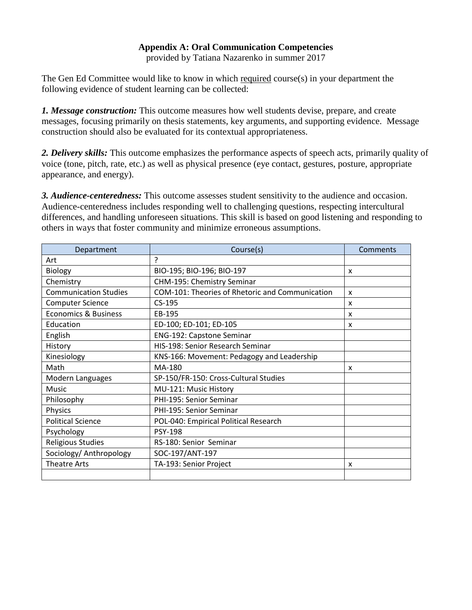### **Appendix A: Oral Communication Competencies**

provided by Tatiana Nazarenko in summer 2017

The Gen Ed Committee would like to know in which required course(s) in your department the following evidence of student learning can be collected:

*1. Message construction:* This outcome measures how well students devise, prepare, and create messages, focusing primarily on thesis statements, key arguments, and supporting evidence. Message construction should also be evaluated for its contextual appropriateness.

*2. Delivery skills:* This outcome emphasizes the performance aspects of speech acts, primarily quality of voice (tone, pitch, rate, etc.) as well as physical presence (eye contact, gestures, posture, appropriate appearance, and energy).

*3. Audience-centeredness:* This outcome assesses student sensitivity to the audience and occasion. Audience-centeredness includes responding well to challenging questions, respecting intercultural differences, and handling unforeseen situations. This skill is based on good listening and responding to others in ways that foster community and minimize erroneous assumptions.

| Department                      | Course(s)                                       | Comments                  |
|---------------------------------|-------------------------------------------------|---------------------------|
| Art                             | ς                                               |                           |
| Biology                         | BIO-195; BIO-196; BIO-197                       | X                         |
| Chemistry                       | CHM-195: Chemistry Seminar                      |                           |
| <b>Communication Studies</b>    | COM-101: Theories of Rhetoric and Communication | x                         |
| <b>Computer Science</b>         | $CS-195$                                        | $\boldsymbol{\mathsf{x}}$ |
| <b>Economics &amp; Business</b> | EB-195                                          | x                         |
| Education                       | ED-100; ED-101; ED-105                          | x                         |
| English                         | <b>ENG-192: Capstone Seminar</b>                |                           |
| History                         | HIS-198: Senior Research Seminar                |                           |
| Kinesiology                     | KNS-166: Movement: Pedagogy and Leadership      |                           |
| Math                            | MA-180                                          | X                         |
| Modern Languages                | SP-150/FR-150: Cross-Cultural Studies           |                           |
| Music                           | MU-121: Music History                           |                           |
| Philosophy                      | PHI-195: Senior Seminar                         |                           |
| Physics                         | PHI-195: Senior Seminar                         |                           |
| <b>Political Science</b>        | POL-040: Empirical Political Research           |                           |
| Psychology                      | <b>PSY-198</b>                                  |                           |
| <b>Religious Studies</b>        | RS-180: Senior Seminar                          |                           |
| Sociology/ Anthropology         | SOC-197/ANT-197                                 |                           |
| <b>Theatre Arts</b>             | TA-193: Senior Project                          | X                         |
|                                 |                                                 |                           |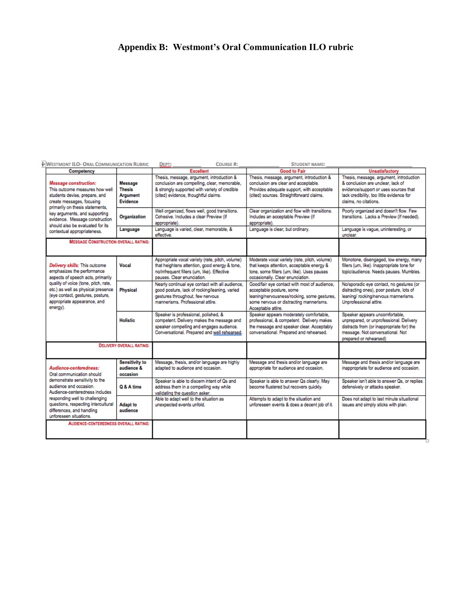# **Appendix B: Westmont's Oral Communication ILO rubric**

| <b>I-WESTMONT ILO- ORAL COMMUNICATION RUBRIC</b>                                                                                                                                                                                                                                  |                                                  | <b>COURSE#:</b><br><b>DEPT:</b>                                                                                                                                                    | <b>STUDENT NAME:</b>                                                                                                                                                                     |                                                                                                                                                                                             |
|-----------------------------------------------------------------------------------------------------------------------------------------------------------------------------------------------------------------------------------------------------------------------------------|--------------------------------------------------|------------------------------------------------------------------------------------------------------------------------------------------------------------------------------------|------------------------------------------------------------------------------------------------------------------------------------------------------------------------------------------|---------------------------------------------------------------------------------------------------------------------------------------------------------------------------------------------|
| Competency                                                                                                                                                                                                                                                                        |                                                  | Excellent                                                                                                                                                                          | <b>Good to Fair</b>                                                                                                                                                                      | Unsatisfactory                                                                                                                                                                              |
| Message construction:<br>This outcome measures how well<br>students devise, prepare, and<br>create messages, focusing                                                                                                                                                             | Message<br><b>Thesis</b><br>Argument<br>Evidence | Thesis, message, argument, introduction &<br>conclusion are compelling, clear, memorable,<br>& strongly supported with variety of credible<br>(cited) evidence, thoughtful claims. | Thesis, message, argument, introduction &<br>conclusion are clear and acceptable.<br>Provides adequate support, with acceptable<br>(cited) sources. Straightforward claims.              | Thesis, message, argument, introduction<br>& conclusion are unclear, lack of<br>evidence/support or uses sources that<br>lack credibility, too little evidence for<br>claims, no citations. |
| primarily on thesis statements.<br>key arguments, and supporting<br>evidence. Message construction<br>should also be evaluated for its                                                                                                                                            | Organization                                     | Well organized, flows well, good transitions.<br>Cohesive, Includes a clear Preview (if<br>appropriate).                                                                           | Clear organization and flow with transitions.<br>Includes an acceptable Preview (if<br>appropriate).                                                                                     | Poorly organized and doesn't flow. Few<br>transitions. Lacks a Preview (if needed).                                                                                                         |
| contextual appropriateness.                                                                                                                                                                                                                                                       | Language                                         | Language is varied, clear, memorable, &<br>effective.                                                                                                                              | Language is clear, but ordinary.                                                                                                                                                         | Language is vague, uninteresting, or<br>unclear.                                                                                                                                            |
| <b>MESSAGE CONSTRUCTION OVERALL RATING:</b>                                                                                                                                                                                                                                       |                                                  |                                                                                                                                                                                    |                                                                                                                                                                                          |                                                                                                                                                                                             |
| Delivery skills: This outcome<br>emphasizes the performance<br>aspects of speech acts, primarily<br>quality of voice (tone, pitch, rate,<br>etc.) as well as physical presence<br>(eye contact, gestures, posture,<br>appropriate appearance, and<br>energy).                     | Vocal                                            | Appropriate vocal variety (rate, pitch, volume)<br>that heightens attention, good energy & tone,<br>no/infrequent fillers (um, like). Effective<br>pauses. Clear enunciation.      | Moderate vocal variety (rate, pitch, volume)<br>that keeps attention, acceptable energy &<br>tone, some fillers (um, like). Uses pauses<br>occasionally. Clear enunciation.              | Monotone, disengaged, low energy, many<br>fillers (um, like). Inappropriate tone for<br>topic/audience. Needs pauses. Mumbles.                                                              |
|                                                                                                                                                                                                                                                                                   | <b>Physical</b>                                  | Nearly continual eve contact with all audience.<br>good posture, lack of rocking/leaning, varied<br>gestures throughout, few nervous<br>mannerisms. Professional attire.           | Good/fair eve contact with most of audience.<br>acceptable posture, some<br>leaning/nervousness/rocking, some gestures,<br>some nervous or distracting mannerisms.<br>Acceptable attire. | No/sporadic eye contact, no gestures (or<br>distracting ones), poor posture, lots of<br>leaning/ rocking/nervous mannerisms.<br>Unprofessional attire.                                      |
|                                                                                                                                                                                                                                                                                   | <b>Holistic</b>                                  | Speaker is professional, polished, &<br>competent. Delivery makes the message and<br>speaker compelling and engages audience.<br>Conversational. Prepared and well rehearsed.      | Speaker appears moderately comfortable.<br>professional, & competent. Delivery makes<br>the message and speaker clear. Acceptably<br>conversational. Prepared and rehearsed.             | Speaker appears uncomfortable,<br>unprepared, or unprofessional. Delivery<br>distracts from (or inappropriate for) the<br>message. Not conversational. Not<br>prepared or rehearsed)        |
|                                                                                                                                                                                                                                                                                   | <b>DELIVERY OVERALL RATING:</b>                  |                                                                                                                                                                                    |                                                                                                                                                                                          |                                                                                                                                                                                             |
| Audience-centeredness:<br>Oral communication should<br>demonstrate sensitivity to the<br>audience and occasion.<br>Audience-centeredness includes<br>responding well to challenging<br>questions, respecting intercultural<br>differences, and handling<br>unforeseen situations. | <b>Sensitivity to</b><br>audience &<br>occasion  | Message, thesis, and/or language are highly<br>adapted to audience and occasion.                                                                                                   | Message and thesis and/or language are<br>appropriate for audience and occasion.                                                                                                         | Message and thesis and/or language are<br>inappropriate for audience and occasion.                                                                                                          |
|                                                                                                                                                                                                                                                                                   | Q & A time                                       | Speaker is able to discern intent of Qs and<br>address them in a compelling way while<br>validating the question asker.                                                            | Speaker is able to answer Os clearly. May<br>become flustered but recovers quickly.                                                                                                      | Speaker isn't able to answer Qs, or replies<br>defensively or attacks speaker.                                                                                                              |
|                                                                                                                                                                                                                                                                                   | Adapt to<br>audience                             | Able to adapt well to the situation as<br>unexpected events unfold.                                                                                                                | Attempts to adapt to the situation and<br>unforeseen events & does a decent job of it.                                                                                                   | Does not adapt to last minute situational<br>issues and simply sticks with plan.                                                                                                            |
| <b>AUDIENCE-CENTEREDNESS OVERALL RATING:</b>                                                                                                                                                                                                                                      |                                                  |                                                                                                                                                                                    |                                                                                                                                                                                          |                                                                                                                                                                                             |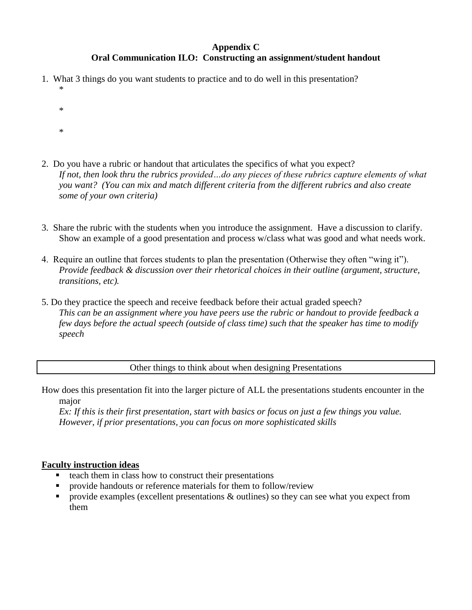### **Appendix C Oral Communication ILO: Constructing an assignment/student handout**

- 1. What 3 things do you want students to practice and to do well in this presentation? \*
	- \* \*
- 2. Do you have a rubric or handout that articulates the specifics of what you expect? *If not, then look thru the rubrics provided…do any pieces of these rubrics capture elements of what you want? (You can mix and match different criteria from the different rubrics and also create some of your own criteria)*
- 3. Share the rubric with the students when you introduce the assignment. Have a discussion to clarify. Show an example of a good presentation and process w/class what was good and what needs work.
- 4. Require an outline that forces students to plan the presentation (Otherwise they often "wing it"). *Provide feedback & discussion over their rhetorical choices in their outline (argument, structure, transitions, etc).*
- 5. Do they practice the speech and receive feedback before their actual graded speech? *This can be an assignment where you have peers use the rubric or handout to provide feedback a few days before the actual speech (outside of class time) such that the speaker has time to modify speech*

Other things to think about when designing Presentations

How does this presentation fit into the larger picture of ALL the presentations students encounter in the major

*Ex: If this is their first presentation, start with basics or focus on just a few things you value. However, if prior presentations, you can focus on more sophisticated skills* 

### **Faculty instruction ideas**

- $\blacksquare$  teach them in class how to construct their presentations
- provide handouts or reference materials for them to follow/review
- provide examples (excellent presentations & outlines) so they can see what you expect from them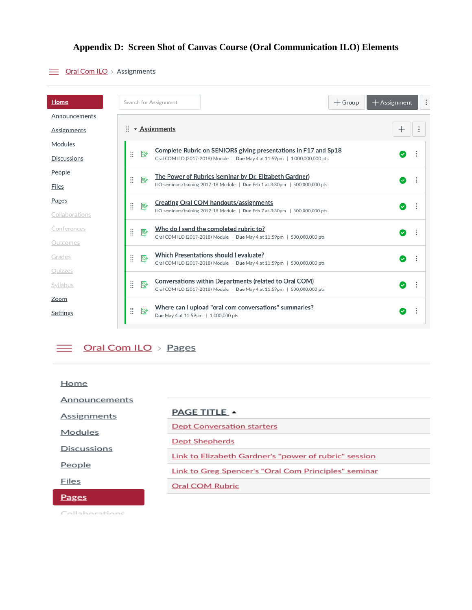# **Appendix D: Screen Shot of Canvas Course (Oral Communication ILO) Elements**

# $\equiv$  Oral Com ILO > Assignments

| Home               |   |                                             | Search for Assignment                                                                                                              | $+$ Group | $+$ Assignment | ÷ |
|--------------------|---|---------------------------------------------|------------------------------------------------------------------------------------------------------------------------------------|-----------|----------------|---|
| Announcements      |   |                                             |                                                                                                                                    |           |                |   |
| <b>Assignments</b> | × |                                             | • Assignments                                                                                                                      |           |                |   |
| Modules            |   |                                             | Complete Rubric on SENIORS giving presentations in F17 and Sp18                                                                    |           |                |   |
| <b>Discussions</b> | ∷ | P                                           | Oral COM ILO (2017-2018) Module   Due May 4 at 11:59pm   1,000,000,000 pts                                                         |           |                |   |
| People             |   |                                             | The Power of Rubrics (seminar by Dr. Elizabeth Gardner)                                                                            |           |                |   |
| Files              | ∷ | 駗                                           | ILO seminars/training 2017-18 Module   Due Feb 1 at 3:30pm   500,000,000 pts                                                       |           | ✓              |   |
| <b>Pages</b>       | ∷ | ₽                                           | <b>Creating Oral COM handouts/assignments</b>                                                                                      |           | Ø              |   |
| Collaborations     |   |                                             | ILO seminars/training 2017-18 Module   Due Feb 7 at 3:30pm   500,000,000 pts                                                       |           |                |   |
| Conferences        | Ħ | Who do I send the completed rubric to?<br>駗 |                                                                                                                                    |           | $\bullet$      |   |
| Outcomes           |   |                                             | Oral COM ILO (2017-2018) Module   Due May 4 at 11:59pm   500,000,000 pts                                                           |           |                |   |
| Grades             | Ħ | P)                                          | Which Presentations should I evaluate?<br>Oral COM ILO (2017-2018) Module   Due May 4 at 11:59pm   500,000,000 pts                 |           | $\omega$       |   |
| Quizzes            |   |                                             |                                                                                                                                    |           |                |   |
| Syllabus           | Ħ | ₽                                           | Conversations within Departments (related to Oral COM)<br>Oral COM ILO (2017-2018) Module   Due May 4 at 11:59pm   500,000,000 pts |           | $\mathcal{L}$  |   |
| Zoom               |   |                                             | Where can I upload "oral com conversations" summaries?                                                                             |           |                |   |
| Settings           |   | 駗                                           | Due May 4 at 11:59pm   1,000,000 pts                                                                                               |           | $\sim$         |   |

 $\equiv$  Oral Com ILO > Pages

| Home               |                                                       |  |
|--------------------|-------------------------------------------------------|--|
| Announcements      |                                                       |  |
| Assignments        | <b>PAGE TITLE A</b>                                   |  |
| Modules            | <b>Dept Conversation starters</b>                     |  |
|                    | <b>Dept Shepherds</b>                                 |  |
| <b>Discussions</b> | Link to Elizabeth Gardner's "power of rubric" session |  |
| People             | Link to Greg Spencer's "Oral Com Principles" seminar  |  |
| Files              | Oral COM Rubric                                       |  |
| <b>Pages</b>       |                                                       |  |

Collaboratione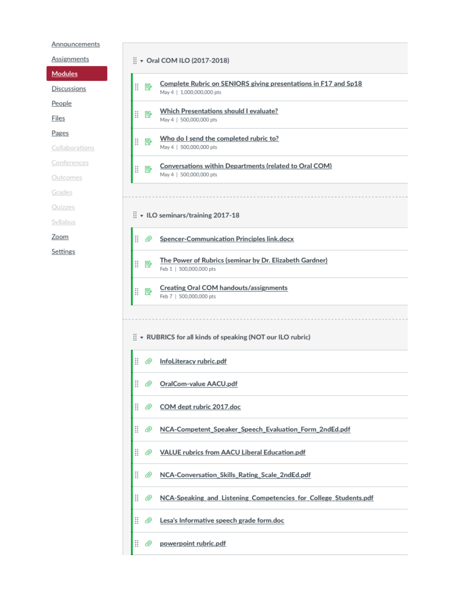Announcements

Assignments

Modules

Discussions

People

**Files** 

Pages

Collaborations

Conferences

Outcomes

Grades

Quizzes

Syllabus

Zoom

Settings

|         | $\frac{11}{11}$ v Oral COM ILO (2017-2018)                                                   |
|---------|----------------------------------------------------------------------------------------------|
| Ħ<br>P  | Complete Rubric on SENIORS giving presentations in F17 and Sp18<br>May 4   1.000,000,000 pts |
| Ħ<br>恳  | Which Presentations should I evaluate?<br>May 4   500,000,000 pts                            |
| Ħ<br>恳  | Who do I send the completed rubric to?<br>May 4   500,000,000 pts                            |
| H<br>恳  | Conversations within Departments (related to Oral COM)<br>May 4   500,000,000 pts            |
|         | ILO seminars/training 2017-18                                                                |
| Ħ<br>◎  | Spencer-Communication Principles link.docx                                                   |
| H<br>P  | The Power of Rubrics (seminar by Dr. Elizabeth Gardner)<br>Feb 1   500,000,000 pts           |
| ₩<br>P  | Creating Oral COM handouts/assignments<br>Feb 7   500,000,000 pts                            |
|         | $\frac{11}{11}$ $\star$ RUBRICS for all kinds of speaking (NOT our ILO rubric)               |
| ◎       | InfoLiteracy rubric.pdf                                                                      |
| ◎       | OralCom-value AACU.pdf                                                                       |
| Ħ<br>Ø  | COM dept rubric 2017.doc                                                                     |
| H<br>◎  | NCA-Competent_Speaker_Speech_Evaluation_Form_2ndEd.pdf                                       |
| Ħ<br>Ø  | <b>VALUE rubrics from AACU Liberal Education.pdf</b>                                         |
| Ħ<br>O) | NCA-Conversation_Skills_Rating_Scale_2ndEd.pdf                                               |
| ₩<br>◎  | NCA-Speaking_and_Listening_Competencies_for_College_Students.pdf                             |
| H<br>◎  |                                                                                              |
|         | Lesa's Informative speech grade form.doc                                                     |
| Ħ<br>◎  | powerpoint rubric.pdf                                                                        |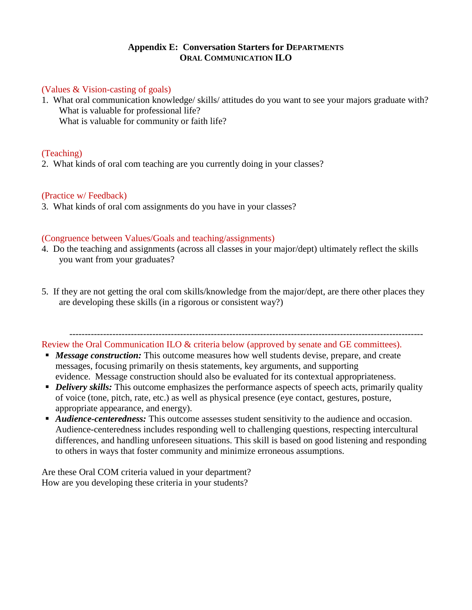### **Appendix E: Conversation Starters for DEPARTMENTS ORAL COMMUNICATION ILO**

#### (Values & Vision-casting of goals)

1. What oral communication knowledge/ skills/ attitudes do you want to see your majors graduate with? What is valuable for professional life? What is valuable for community or faith life?

### (Teaching)

2. What kinds of oral com teaching are you currently doing in your classes?

#### (Practice w/ Feedback)

3. What kinds of oral com assignments do you have in your classes?

### (Congruence between Values/Goals and teaching/assignments)

- 4. Do the teaching and assignments (across all classes in your major/dept) ultimately reflect the skills you want from your graduates?
- 5. If they are not getting the oral com skills/knowledge from the major/dept, are there other places they are developing these skills (in a rigorous or consistent way?)

------------------------------------------------------------------------------------------------------------------- Review the Oral Communication ILO & criteria below (approved by senate and GE committees).

- **Message construction:** This outcome measures how well students devise, prepare, and create messages, focusing primarily on thesis statements, key arguments, and supporting evidence. Message construction should also be evaluated for its contextual appropriateness.
- **•** *Delivery skills*: This outcome emphasizes the performance aspects of speech acts, primarily quality of voice (tone, pitch, rate, etc.) as well as physical presence (eye contact, gestures, posture, appropriate appearance, and energy).
- **Audience-centeredness:** This outcome assesses student sensitivity to the audience and occasion. Audience-centeredness includes responding well to challenging questions, respecting intercultural differences, and handling unforeseen situations. This skill is based on good listening and responding to others in ways that foster community and minimize erroneous assumptions.

Are these Oral COM criteria valued in your department? How are you developing these criteria in your students?